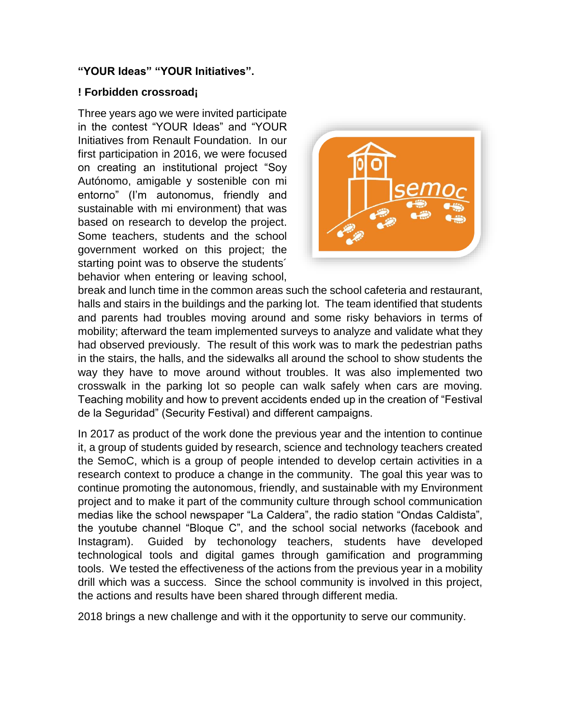## **"YOUR Ideas" "YOUR Initiatives".**

## **! Forbidden crossroad¡**

Three years ago we were invited participate in the contest "YOUR Ideas" and "YOUR Initiatives from Renault Foundation. In our first participation in 2016, we were focused on creating an institutional project "Soy Autónomo, amigable y sostenible con mi entorno" (I'm autonomus, friendly and sustainable with mi environment) that was based on research to develop the project. Some teachers, students and the school government worked on this project; the starting point was to observe the students´ behavior when entering or leaving school,



break and lunch time in the common areas such the school cafeteria and restaurant, halls and stairs in the buildings and the parking lot. The team identified that students and parents had troubles moving around and some risky behaviors in terms of mobility; afterward the team implemented surveys to analyze and validate what they had observed previously. The result of this work was to mark the pedestrian paths in the stairs, the halls, and the sidewalks all around the school to show students the way they have to move around without troubles. It was also implemented two crosswalk in the parking lot so people can walk safely when cars are moving. Teaching mobility and how to prevent accidents ended up in the creation of "Festival de la Seguridad" (Security Festival) and different campaigns.

In 2017 as product of the work done the previous year and the intention to continue it, a group of students guided by research, science and technology teachers created the SemoC, which is a group of people intended to develop certain activities in a research context to produce a change in the community. The goal this year was to continue promoting the autonomous, friendly, and sustainable with my Environment project and to make it part of the community culture through school communication medias like the school newspaper "La Caldera", the radio station "Ondas Caldista", the youtube channel "Bloque C", and the school social networks (facebook and Instagram). Guided by techonology teachers, students have developed technological tools and digital games through gamification and programming tools. We tested the effectiveness of the actions from the previous year in a mobility drill which was a success. Since the school community is involved in this project, the actions and results have been shared through different media.

2018 brings a new challenge and with it the opportunity to serve our community.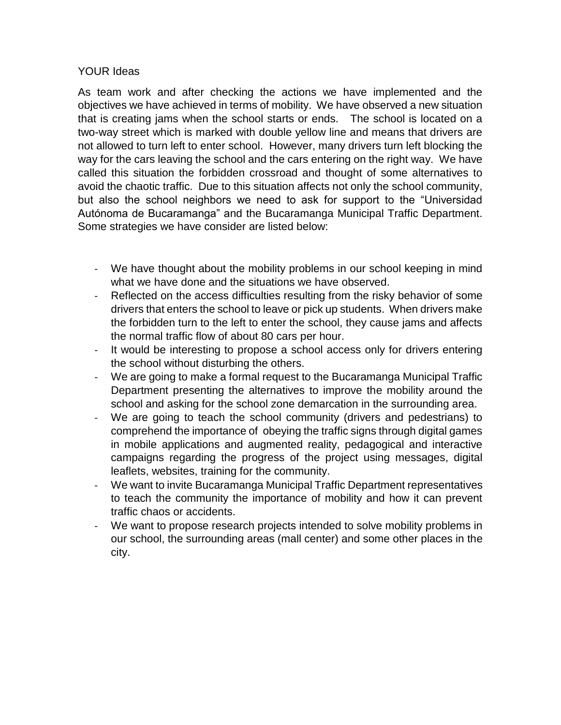## YOUR Ideas

As team work and after checking the actions we have implemented and the objectives we have achieved in terms of mobility. We have observed a new situation that is creating jams when the school starts or ends. The school is located on a two-way street which is marked with double yellow line and means that drivers are not allowed to turn left to enter school. However, many drivers turn left blocking the way for the cars leaving the school and the cars entering on the right way. We have called this situation the forbidden crossroad and thought of some alternatives to avoid the chaotic traffic. Due to this situation affects not only the school community, but also the school neighbors we need to ask for support to the "Universidad Autónoma de Bucaramanga" and the Bucaramanga Municipal Traffic Department. Some strategies we have consider are listed below:

- We have thought about the mobility problems in our school keeping in mind what we have done and the situations we have observed.
- Reflected on the access difficulties resulting from the risky behavior of some drivers that enters the school to leave or pick up students. When drivers make the forbidden turn to the left to enter the school, they cause jams and affects the normal traffic flow of about 80 cars per hour.
- It would be interesting to propose a school access only for drivers entering the school without disturbing the others.
- We are going to make a formal request to the Bucaramanga Municipal Traffic Department presenting the alternatives to improve the mobility around the school and asking for the school zone demarcation in the surrounding area.
- We are going to teach the school community (drivers and pedestrians) to comprehend the importance of obeying the traffic signs through digital games in mobile applications and augmented reality, pedagogical and interactive campaigns regarding the progress of the project using messages, digital leaflets, websites, training for the community.
- We want to invite Bucaramanga Municipal Traffic Department representatives to teach the community the importance of mobility and how it can prevent traffic chaos or accidents.
- We want to propose research projects intended to solve mobility problems in our school, the surrounding areas (mall center) and some other places in the city.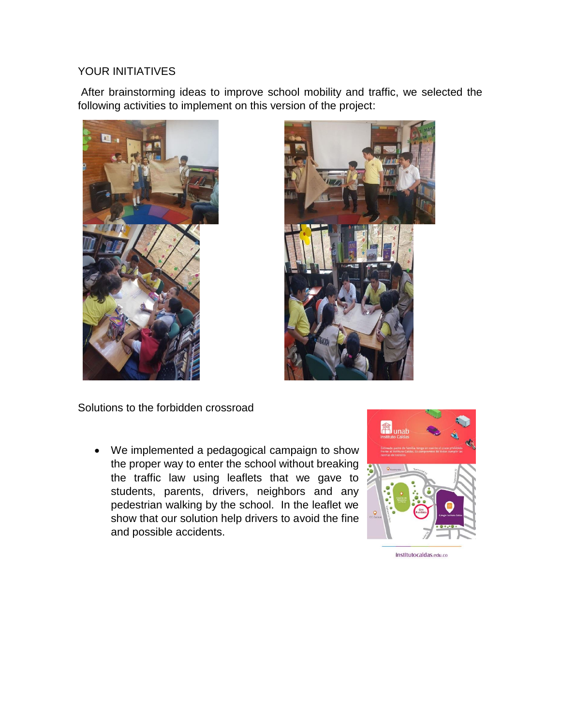## YOUR INITIATIVES

After brainstorming ideas to improve school mobility and traffic, we selected the following activities to implement on this version of the project:





Solutions to the forbidden crossroad

 We implemented a pedagogical campaign to show the proper way to enter the school without breaking the traffic law using leaflets that we gave to students, parents, drivers, neighbors and any pedestrian walking by the school. In the leaflet we show that our solution help drivers to avoid the fine and possible accidents.



institutocaldas.edu.co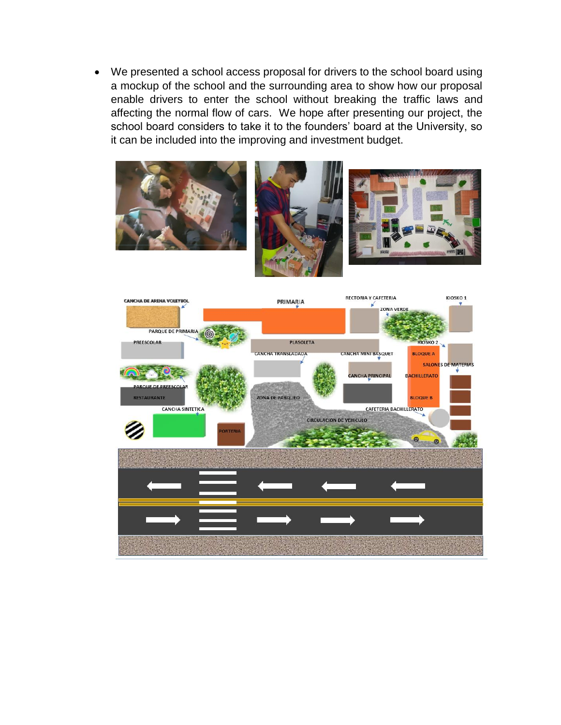We presented a school access proposal for drivers to the school board using a mockup of the school and the surrounding area to show how our proposal enable drivers to enter the school without breaking the traffic laws and affecting the normal flow of cars. We hope after presenting our project, the school board considers to take it to the founders' board at the University, so it can be included into the improving and investment budget.



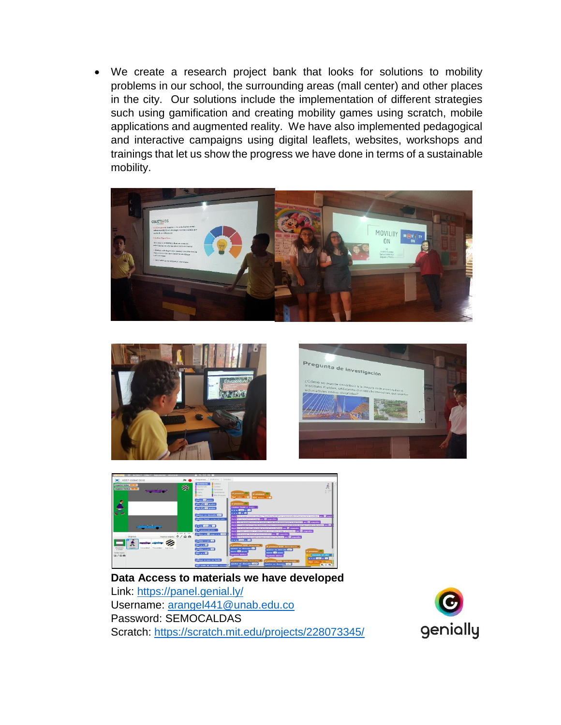We create a research project bank that looks for solutions to mobility problems in our school, the surrounding areas (mall center) and other places in the city. Our solutions include the implementation of different strategies such using gamification and creating mobility games using scratch, mobile applications and augmented reality. We have also implemented pedagogical and interactive campaigns using digital leaflets, websites, workshops and trainings that let us show the progress we have done in terms of a sustainable mobility.









**Data Access to materials we have developed** Link:<https://panel.genial.ly/> Username: [arangel441@unab.edu.co](mailto:arangel441@unab.edu.co) Password: SEMOCALDAS Scratch: <https://scratch.mit.edu/projects/228073345/>